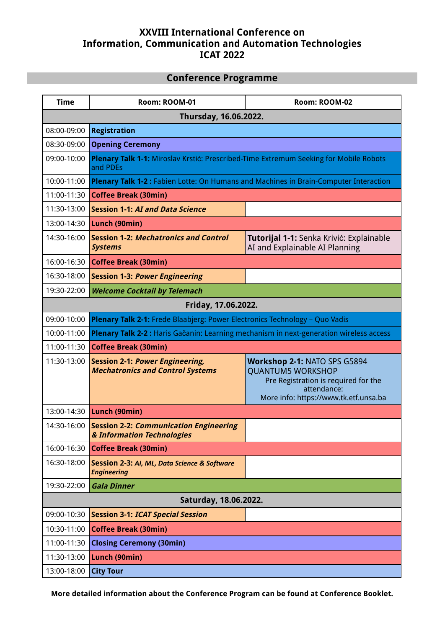# **XXVIII International Conference on Information, Communication and Automation Technologies ICAT 2022**

## **Conference Programme**

| <b>Time</b>           | Room: ROOM-01                                                                                     | Room: ROOM-02                                                                                                                                            |
|-----------------------|---------------------------------------------------------------------------------------------------|----------------------------------------------------------------------------------------------------------------------------------------------------------|
| Thursday, 16.06.2022. |                                                                                                   |                                                                                                                                                          |
| 08:00-09:00           | <b>Registration</b>                                                                               |                                                                                                                                                          |
| 08:30-09:00           | <b>Opening Ceremony</b>                                                                           |                                                                                                                                                          |
| 09:00-10:00           | Plenary Talk 1-1: Miroslav Krstić: Prescribed-Time Extremum Seeking for Mobile Robots<br>and PDEs |                                                                                                                                                          |
| 10:00-11:00           | Plenary Talk 1-2 : Fabien Lotte: On Humans and Machines in Brain-Computer Interaction             |                                                                                                                                                          |
| 11:00-11:30           | <b>Coffee Break (30min)</b>                                                                       |                                                                                                                                                          |
| 11:30-13:00           | <b>Session 1-1: AI and Data Science</b>                                                           |                                                                                                                                                          |
| 13:00-14:30           | Lunch (90min)                                                                                     |                                                                                                                                                          |
| 14:30-16:00           | <b>Session 1-2: Mechatronics and Control</b><br><b>Systems</b>                                    | Tutorijal 1-1: Senka Krivić: Explainable<br>AI and Explainable AI Planning                                                                               |
| 16:00-16:30           | <b>Coffee Break (30min)</b>                                                                       |                                                                                                                                                          |
| 16:30-18:00           | <b>Session 1-3: Power Engineering</b>                                                             |                                                                                                                                                          |
| 19:30-22:00           | <b>Welcome Cocktail by Telemach</b>                                                               |                                                                                                                                                          |
| Friday, 17.06.2022.   |                                                                                                   |                                                                                                                                                          |
| 09:00-10:00           | Plenary Talk 2-1: Frede Blaabjerg: Power Electronics Technology - Quo Vadis                       |                                                                                                                                                          |
| 10:00-11:00           | Plenary Talk 2-2 : Haris Gačanin: Learning mechanism in next-generation wireless access           |                                                                                                                                                          |
| 11:00-11:30           | <b>Coffee Break (30min)</b>                                                                       |                                                                                                                                                          |
| 11:30-13:00           | <b>Session 2-1: Power Engineering,</b><br><b>Mechatronics and Control Systems</b>                 | Workshop 2-1: NATO SPS G5894<br><b>QUANTUM5 WORKSHOP</b><br>Pre Registration is required for the<br>attendance:<br>More info: https://www.tk.etf.unsa.ba |
| 13:00-14:30           | Lunch (90min)                                                                                     |                                                                                                                                                          |
|                       | 14:30-16:00 Session 2-2: Communication Engineering<br>& Information Technologies                  |                                                                                                                                                          |
| 16:00-16:30           | <b>Coffee Break (30min)</b>                                                                       |                                                                                                                                                          |
| 16:30-18:00           | Session 2-3: AI, ML, Data Science & Software<br><b>Engineering</b>                                |                                                                                                                                                          |
| 19:30-22:00           | <b>Gala Dinner</b>                                                                                |                                                                                                                                                          |
| Saturday, 18.06.2022. |                                                                                                   |                                                                                                                                                          |
| 09:00-10:30           | <b>Session 3-1: ICAT Special Session</b>                                                          |                                                                                                                                                          |
| 10:30-11:00           | <b>Coffee Break (30min)</b>                                                                       |                                                                                                                                                          |
| 11:00-11:30           | <b>Closing Ceremony (30min)</b>                                                                   |                                                                                                                                                          |
| 11:30-13:00           | Lunch (90min)                                                                                     |                                                                                                                                                          |
| 13:00-18:00           | <b>City Tour</b>                                                                                  |                                                                                                                                                          |

**More detailed information about the Conference Program can be found at Conference Booklet.**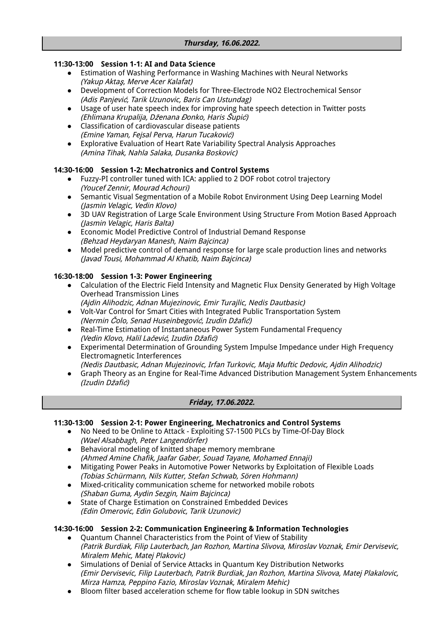#### **11:30-13:00 Session 1-1: AI and Data Science**

- Estimation of Washing Performance in Washing Machines with Neural Networks (Yakup Akta*ş*, Merve Acer Kalafat)
- Development of Correction Models for Three-Electrode NO2 Electrochemical Sensor (Adis Panjevi*ć*, Tarik Uzunovic, Baris Can Ustundag)
- Usage of user hate speech index for improving hate speech detection in Twitter posts (Ehlimana Krupalija, <sup>D</sup>*ž*enana *<sup>Đ</sup>*onko, Haris *Š*upi*ć*)
- Classification of cardiovascular disease patients (Emine Yaman, Fejsal Perva, Harun Tucakovi*ć*)
- Explorative Evaluation of Heart Rate Variability Spectral Analysis Approaches (Amina Tihak, Nahla Salaka, Dusanka Boskovic)

### **14:30-16:00 Session 1-2: Mechatronics and Control Systems**

- Fuzzy-PI controller tuned with ICA: applied to 2 DOF robot cotrol trajectory (Youcef Zennir, Mourad Achouri)
- Semantic Visual Segmentation of a Mobile Robot Environment Using Deep Learning Model (Jasmin Velagic, Vedin Klovo)
- 3D UAV Registration of Large Scale Environment Using Structure From Motion Based Approach (Jasmin Velagic, Haris Balta)
- Economic Model Predictive Control of Industrial Demand Response (Behzad Heydaryan Manesh, Naim Bajcinca)
- Model predictive control of demand response for large scale production lines and networks (Javad Tousi, Mohammad Al Khatib, Naim Bajcinca)

#### **16:30-18:00 Session 1-3: Power Engineering**

- Calculation of the Electric Field Intensity and Magnetic Flux Density Generated by High Voltage Overhead Transmission Lines
	- (Ajdin Alihodzic, Adnan Mujezinovic, Emir Turajlic, Nedis Dautbasic)
- Volt-Var Control for Smart Cities with Integrated Public Transportation System (Nermin *Č*olo, Senad Huseinbegovi*ć*, Izudin <sup>D</sup>*ž*afi*ć*)
- Real-Time Estimation of Instantaneous Power System Fundamental Frequency (Vedin Klovo, Halil La*č*evi*ć*, Izudin D*ž*afi*ć*)
- Experimental Determination of Grounding System Impulse Impedance under High Frequency Electromagnetic Interferences
	- (Nedis Dautbasic, Adnan Mujezinovic, Irfan Turkovic, Maja Muftic Dedovic, Ajdin Alihodzic)
- Graph Theory as an Engine for Real-Time Advanced Distribution Management System Enhancements (Izudin D*ž*afi*ć*)

#### **Friday, 17.06.2022.**

#### **11:30-13:00 Session 2-1: Power Engineering, Mechatronics and Control Systems**

- No Need to be Online to Attack Exploiting S7-1500 PLCs by Time-Of-Day Block (Wael Alsabbagh, Peter Langendörfer)
- Behavioral modeling of knitted shape memory membrane (Ahmed Amine Chafik, Jaafar Gaber, Souad Tayane, Mohamed Ennaji)
- Mitigating Power Peaks in Automotive Power Networks by Exploitation of Flexible Loads (Tobias Schürmann, Nils Kutter, Stefan Schwab, Sören Hohmann)
- Mixed-criticality communication scheme for networked mobile robots (Shaban Guma, Aydin Sezgin, Naim Bajcinca)
- State of Charge Estimation on Constrained Embedded Devices (Edin Omerovic, Edin Golubovic, Tarik Uzunovic)

#### **14:30-16:00 Session 2-2: Communication Engineering & Information Technologies**

- Quantum Channel Characteristics from the Point of View of Stability (Patrik Burdiak, Filip Lauterbach, Jan Rozhon, Martina Slivova, Miroslav Voznak, Emir Dervisevic, Miralem Mehic, Matej Plakovic)
- Simulations of Denial of Service Attacks in Quantum Key Distribution Networks (Emir Dervisevic, Filip Lauterbach, Patrik Burdiak, Jan Rozhon, Martina Slivova, Matej Plakalovic, Mirza Hamza, Peppino Fazio, Miroslav Voznak, Miralem Mehic)
- Bloom filter based acceleration scheme for flow table lookup in SDN switches